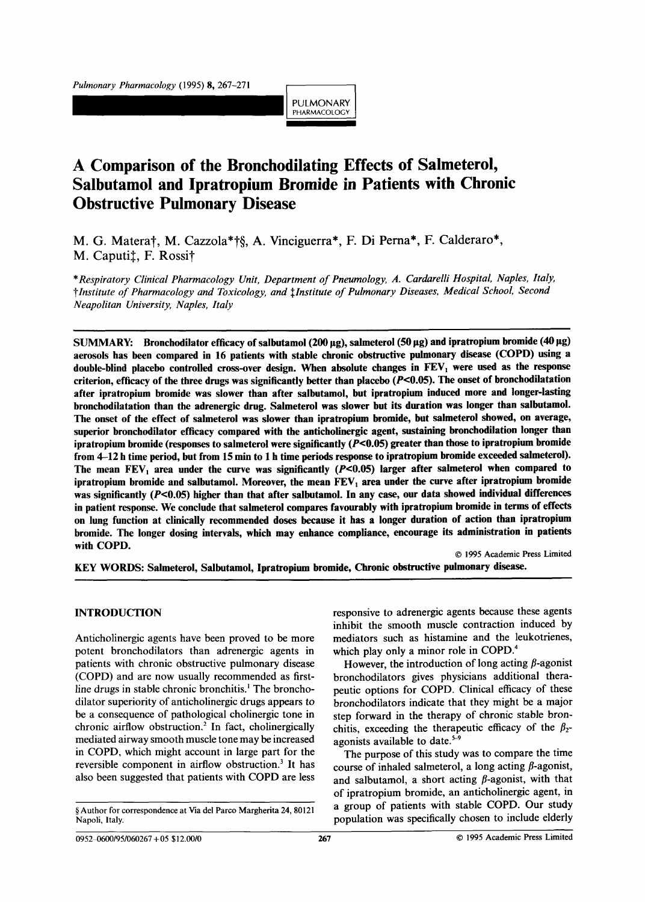PULMONARY **PHARMACOLOGY** 

# **A Comparison of the Bronchodilating Effects of Salmeterol, Salbutamol and Ipratropium Bromide in Patients with Chronic Obstructive Pulmonary Disease**

M. G. Matera†, M. Cazzola\*†§, A. Vinciguerra\*, F. Di Perna\*, F. Calderaro\*, M. Caputi<sup>†</sup>, F. Rossi<sup>†</sup>

*\*Respiratory Clinical Pharmacology Unit, Department of Pneumology, A. Cardarelli Hospital Naples, Italy, tlnstitute of Pharmacology and Toxicology, and ~Institute of Pulmonary Diseases, Medical School Second Neapolitan University, Naples, Italy* 

**SUMMARY: Bronchodilator efficacy of salbutamol (200 pg), salmeterol (50 pg) and ipratropium bromide (40 pg) aerosols has been compared in 16 patients with stable chronic obstructive pulmonary disease (COPD) using a**  double-blind placebo controlled cross-over design. When absolute changes in FEV<sub>1</sub> were used as the response **criterion, efficacy of the three drugs was significantly better than placebo (P<0.05). The onset of hronchodilatation after ipratropium bromide was slower than after salbutamol, but ipratropium induced more and longer-lasting bronchodilatation than the adrenergic drug. Saimeterol was slower but its duration was longer than salbutamol. The onset of the effect of salmeterol was slower than ipratropium bromide, but salmeterol showed, on average,**  superior bronchodilator efficacy compared with the anticholinergic agent, sustaining bronchodilation longer than **ipratropium bromide (responses to salmeterol were significantly (P<0.05) greater than those to ipratropium bromide**  from 4-12 h time period, but from 15 min to 1 h time periods response to ipratropium bromide exceeded salmeterol). The mean FEV<sub>1</sub> area under the curve was significantly (P<0.05) larger after salmeterol when compared to ipratropium bromide and salbutamol. Moreover, the mean FEV<sub>1</sub> area under the curve after ipratropium bromide **was significantly (P<0.05) higher than that after salbutamol. In any case, our data showed individual differences in patient response. We conclude that salmeterol compares favourably with ipratropium bromide in terms of effects on lung function at clinically recommended doses because it has a longer duration of action than ipratropium bromide. The longer dosing intervals, which may enhance compliance, encourage its administration in patients with COPD.** 

© 1995 Academic Press Limited **KEY WORDS: Salmeterol, Salbutamol, lpratropium bromide, Chronic obstructive pulmonary** disease.

# INTRODUCTION

Anticholinergic agents have been proved to be more potent bronchodilators than adrenergic agents in patients with chronic obstructive pulmonary disease (COPD) and are now usually recommended as firstline drugs in stable chronic bronchitis.<sup>1</sup> The bronchodilator superiority of anticholinergic drugs appears to be a consequence of pathological cholinergic tone in chronic airflow obstruction.<sup>2</sup> In fact, cholinergically mediated airway smooth muscle tone may be increased in COPD, which might account in large part for the reversible component in airflow obstruction.<sup>3</sup> It has also been suggested that patients with COPD are less

responsive to adrenergic agents because these agents inhibit the smooth muscle contraction induced by mediators such as histamine and the leukotrienes, which play only a minor role in COPD.<sup>4</sup>

However, the introduction of long acting  $\beta$ -agonist bronchodilators gives physicians additional therapeutic options for COPD. Clinical efficacy of these bronchodilators indicate that they might be a major step forward in the therapy of chronic stable bronchitis, exceeding the therapeutic efficacy of the  $\beta_2$ agonists available to date.<sup>5-9</sup>

The purpose of this study was to compare the time course of inhaled salmeterol, a long acting  $\beta$ -agonist, and salbutamol, a short acting  $\beta$ -agonist, with that of ipratropium bromide, an anticholinergic agent, in a group of patients with stable COPD. Our study population was specifically chosen to include elderly

<sup>§</sup> Author for correspondence at Via del Parco Margherita 24, 80121 Napoli, Italy.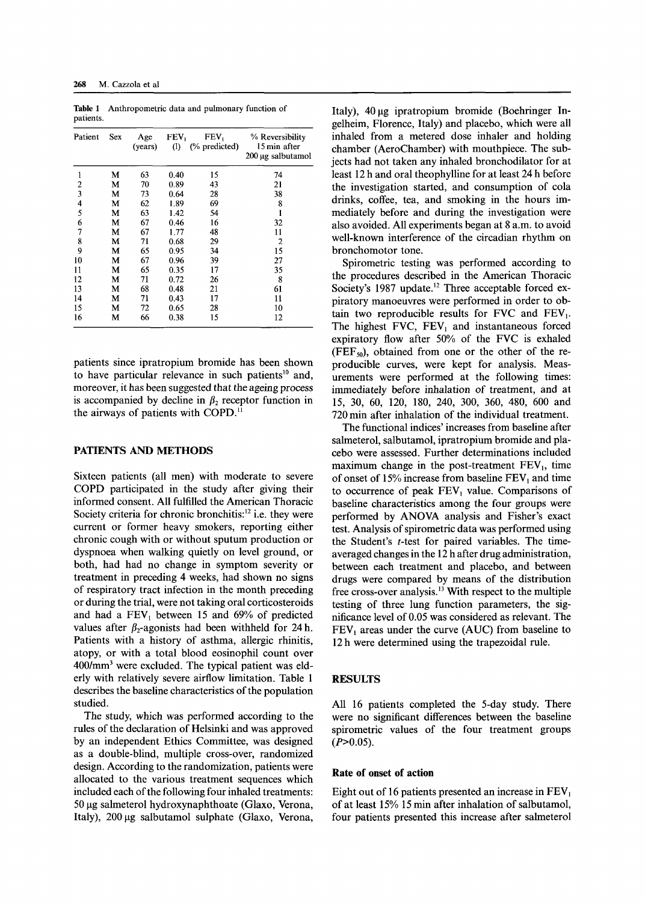| Patient                 | Sex | Age<br>(years) | FEV <sub>1</sub><br>$\left( 1\right)$ | FEV <sub>1</sub><br>(% predicted) | % Reversibility<br>15 min after<br>200 μg salbutamol |
|-------------------------|-----|----------------|---------------------------------------|-----------------------------------|------------------------------------------------------|
| ı                       | М   | 63             | 0.40                                  | 15                                | 74                                                   |
| $\overline{c}$          | М   | 70             | 0.89                                  | 43                                | 21                                                   |
| $\overline{\mathbf{3}}$ | M   | 73             | 0.64                                  | 28                                | 38                                                   |
|                         | М   | 62             | 1.89                                  | 69                                | 8                                                    |
| $\frac{4}{5}$           | M   | 63             | 1.42                                  | 54                                | 1                                                    |
| 6                       | М   | 67             | 0.46                                  | 16                                | 32                                                   |
| 7                       | м   | 67             | 1.77                                  | 48                                | 11                                                   |
| 8                       | М   | 71             | 0.68                                  | 29                                | $\mathbf{2}$                                         |
| 9                       | м   | 65             | 0.95                                  | 34                                | 15                                                   |
| 10                      | М   | 67             | 0.96                                  | 39                                | 27                                                   |
| 11                      | м   | 65             | 0.35                                  | 17                                | 35                                                   |
| 12                      | М   | 71             | 0.72                                  | 26                                | 8                                                    |
| 13                      | М   | 68             | 0.48                                  | 21                                | 61                                                   |
| 14                      | М   | 71             | 0.43                                  | 17                                | 11                                                   |
| 15                      | М   | 72             | 0.65                                  | 28                                | 10                                                   |
| 16                      | М   | 66             | 0.38                                  | 15                                | 12                                                   |

**Table** 1 Anthropometric data and pulmonary function of patients.

patients since ipratropium bromide has been shown to have particular relevance in such patients<sup>10</sup> and, moreover, it has been suggested that the ageing process is accompanied by decline in  $\beta_2$  receptor function in the airways of patients with COPD.<sup>11</sup>

# PATIENTS AND METHODS

Sixteen patients (all men) with moderate to severe COPD participated in the study after giving their informed consent. All fulfilled the American Thoracic Society criteria for chronic bronchitis: $12$  i.e. they were current or former heavy smokers, reporting either chronic cough with or without sputum production or dyspnoea when walking quietly on level ground, or both, had had no change in symptom severity or treatment in preceding 4 weeks, had shown no signs of respiratory tract infection in the month preceding or during the trial, were not taking oral corticosteroids and had a  $FEV<sub>1</sub>$  between 15 and 69% of predicted values after  $\beta_2$ -agonists had been withheld for 24 h. Patients with a history of asthma, allergic rhinitis, atopy, or with a total blood eosinophil count over  $400/\text{mm}^3$  were excluded. The typical patient was elderly with relatively severe airflow limitation. Table 1 describes the baseline characteristics of the population studied.

The study, which was performed according to the rules of the declaration of Helsinki and was approved by an independent Ethics Committee, was designed as a double-blind, multiple cross-over, randomized design. According to the randomization, patients were allocated to the various treatment sequences which included each of the following four inhaled treatments: 50 µg salmeterol hydroxynaphthoate (Glaxo, Verona, Italy), 200 µg salbutamol sulphate (Glaxo, Verona, Italy), 40 µg ipratropium bromide (Boehringer Ingelheim, Florence, Italy) and placebo, which were all inhaled from a metered dose inhaler and holding chamber (AeroChamber) with mouthpiece. The subjects had not taken any inhaled bronchodilator for at least 12 h and oral theophylline for at least 24 h before the investigation started, and consumption of cola drinks, coffee, tea, and smoking in the hours immediately before and during the investigation were also avoided. All experiments began at 8 a.m. to avoid well-known interference of the circadian rhythm on bronchomotor tone.

Spirometric testing was performed according to the procedures described in the American Thoracic Society's 1987 update.<sup>12</sup> Three acceptable forced expiratory manoeuvres were performed in order to obtain two reproducible results for FVC and  $FEV<sub>1</sub>$ . The highest FVC,  $FEV<sub>1</sub>$  and instantaneous forced expiratory flow after 50% of the FVC is exhaled  $(FEF<sub>50</sub>)$ , obtained from one or the other of the reproducible curves, were kept for analysis. Measurements were performed at the following times: immediately before inhalation of treatment, and at 15, 30, 60, 120, 180, 240, 300, 360, 480, 600 and 720 min after inhalation of the individual treatment.

The functional indices' increases from baseline after salmeterol, salbutamol, ipratropium bromide and placebo were assessed. Further determinations included maximum change in the post-treatment  $FEV<sub>1</sub>$ , time of onset of  $15\%$  increase from baseline FEV<sub>i</sub> and time to occurrence of peak  $FEV<sub>1</sub>$  value. Comparisons of baseline characteristics among the four groups were performed by ANOVA analysis and Fisher's exact test. Analysis of spirometric data was performed using the Student's t-test for paired variables. The timeaveraged changes in the 12 h after drug administration, between each treatment and placebo, and between drugs were compared by means of the distribution free cross-over analysis. 13 With respect to the multiple testing of three lung function parameters, the significance level of 0.05 was considered as relevant. The  $FEV<sub>1</sub>$  areas under the curve (AUC) from baseline to 12 h were determined using the trapezoidal rule.

#### RESULTS

All 16 patients completed the 5-day study. There were no significant differences between the baseline spirometric values of the four treatment groups  $(P>0.05)$ .

#### **Rate of onset of action**

Eight out of 16 patients presented an increase in  $FEV<sub>1</sub>$ of at least 15% 15 min after inhalation of salbutamol, four patients presented this increase after salmeterol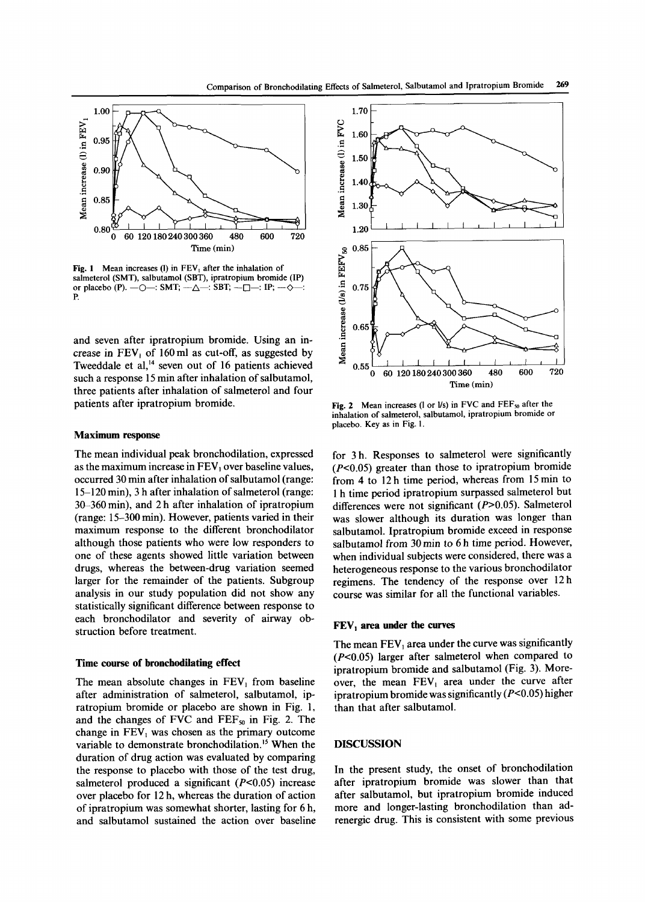

Fig. 1 Mean increases (1) in FEV<sub>1</sub> after the inhalation of salmeterol (SMT), salbutamol (SBT), ipratropium bromide (IP) or placebo (P).  $\leftarrow$   $\bigcirc$   $\leftarrow$ : SMT;  $\leftarrow$   $\bigtriangleup$   $\leftarrow$ : SBT;  $\leftarrow$   $\bigcirc$   $\leftarrow$   $\leftarrow$   $\leftarrow$   $\leftarrow$ P.

and seven after ipratropium bromide. Using an increase in  $FEV<sub>i</sub>$  of 160 ml as cut-off, as suggested by Tweeddale et al,<sup>14</sup> seven out of 16 patients achieved such a response 15 min after inhalation of salbutamol, three patients after inhalation of salmeterol and four patients after ipratropium bromide.

### **Maximum response**

The mean individual peak bronchodilation, expressed as the maximum increase in  $FEV<sub>1</sub>$  over baseline values, occurred 30 min after inhalation of salbutamol (range: **15-120** min), 3 h after inhalation of salmeterol (range:  $30-360$  min), and 2 h after inhalation of ipratropium (range: 15-300 min). However, patients varied in their maximum response to the different bronchodilator although those patients who were low responders to one of these agents showed little variation between drugs, whereas the between-drug variation seemed larger for the remainder of the patients. Subgroup analysis in our study population did not show any statistically significant difference between response to each bronchodilator and severity of airway obstruction before treatment.

#### **Time course of bronchodilating effect**

The mean absolute changes in  $FEV<sub>1</sub>$  from baseline after administration of salmeterol, salbutamol, ipratropium bromide or placebo are shown in Fig. 1, and the changes of FVC and  $FEF_{50}$  in Fig. 2. The change in  $FEV<sub>1</sub>$  was chosen as the primary outcome variable to demonstrate bronchodilation.<sup>15</sup> When the duration of drug action was evaluated by comparing the response to placebo with those of the test drug, salmeterol produced a significant  $(P<0.05)$  increase over placebo for 12 h, whereas the duration of action of ipratropium was somewhat shorter, lasting for 6 h, and salbutamol sustained the action over baseline



Fig. 2 Mean increases (1 or  $1/s$ ) in FVC and FEF<sub>s0</sub> after the inhalation of saimeterol, salbutamol, ipratropium bromide or placebo. Key as in Fig. 1.

for 3 h. Responses to salmeterol were significantly  $(P<0.05)$  greater than those to ipratropium bromide from 4 to 12 h time period, whereas from 15 min to 1 h time period ipratropium surpassed salmeterol but differences were not significant (P>0.05). Salmeterol was slower although its duration was longer than salbutamol. Ipratropium bromide exceed in response salbutamol from 30 min to 6 h time period. However, when individual subjects were considered, there was a heterogeneous response to the various bronchodilator regimens. The tendency of the response over 12h course was similar for all the functional variables.

### **FEV**<sub>1</sub> area under the curves

The mean  $FEV<sub>1</sub>$  area under the curve was significantly (P<0.05) larger after salmeterol when compared to ipratropium bromide and salbutamol (Fig. 3). Moreover, the mean  $FEV_1$  area under the curve after ipratropium bromide was significantly  $(P<0.05)$  higher than that after salbutamol.

## DISCUSSION

In the present study, the onset of bronchodilation after ipratropium bromide was slower than that after salbutamol, but ipratropium bromide induced more and longer-lasting bronchodilation than adrenergic drug. This is consistent with some previous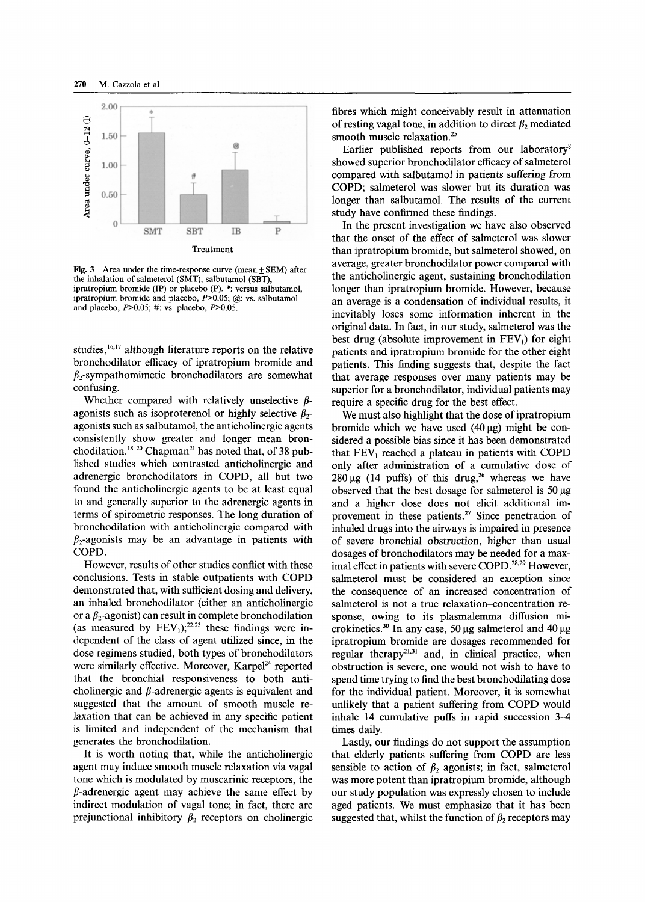

Fig. 3 Area under the time-response curve (mean  $\pm$  SEM) after the inhalation of salmeterol (SMT), salbutamol (SBT), ipratropium bromide (IP) or placebo (P). \*: versus salbutamol, ipratropium bromide and placebo, P>0.05; @: vs. salbutamol and placebo,  $P > 0.05$ ; #: vs. placebo,  $P > 0.05$ .

studies,  $16,17$  although literature reports on the relative bronchodilator efficacy of ipratropium bromide and  $\beta_2$ -sympathomimetic bronchodilators are somewhat confusing.

Whether compared with relatively unselective  $\beta$ agonists such as isoproterenol or highly selective  $\beta_2$ agonists such as salbutamol, the anticholinergic agents consistently show greater and longer mean bronchodilation.<sup>18-20</sup> Chapman<sup>21</sup> has noted that, of 38 published studies which contrasted anticholinergic and adrenergic bronchodilators in COPD, all but two found the anticholinergic agents to be at least equal to and generally superior to the adrenergic agents in terms of spirometric responses. The long duration of bronchodilation with anticholinergic compared with  $\beta_2$ -agonists may be an advantage in patients with COPD.

However, results of other studies conflict with these conclusions. Tests in stable outpatients with COPD demonstrated that, with sufficient dosing and delivery, an inhaled bronchodilator (either an anticholinergic or a  $\beta_2$ -agonist) can result in complete bronchodilation (as measured by  $FEV<sub>1</sub>$ );<sup>22,23</sup> these findings were independent of the class of agent utilized since, in the dose regimens studied, both types of bronchodilators were similarly effective. Moreover, Karpel<sup>24</sup> reported that the bronchial responsiveness to both anticholinergic and  $\beta$ -adrenergic agents is equivalent and suggested that the amount of smooth muscle relaxation that can be achieved in any specific patient is limited and independent of the mechanism that generates the bronchodilation.

It is worth noting that, while the anticholinergic agent may induce smooth muscle relaxation via vagal tone which is modulated by muscarinic receptors, the  $\beta$ -adrenergic agent may achieve the same effect by indirect modulation of vagal tone; in fact, there are prejunctional inhibitory  $\beta_2$  receptors on cholinergic fibres which might conceivably result in attenuation of resting vagal tone, in addition to direct  $\beta_2$  mediated smooth muscle relaxation.<sup>25</sup>

Earlier published reports from our laboratory<sup>8</sup> showed superior bronchodilator efficacy of salmeterol compared with salbutamol in patients suffering from COPD; salmeterol was slower but its duration was longer than salbutamol. The results of the current study have confirmed these findings.

In the present investigation we have also observed that the onset of the effect of salmeterol was slower than ipratropium bromide, but salmeterol showed, on average, greater bronchodilator power compared with the anticholinergic agent, sustaining bronchodilation longer than ipratropium bromide. However, because an average is a condensation of individual results, it inevitably loses some information inherent in the original data. In fact, in our study, salmeterol was the best drug (absolute improvement in  $FEV<sub>1</sub>$ ) for eight patients and ipratropium bromide for the other eight patients. This finding suggests that, despite the fact that average responses over many patients may be superior for a bronchodilator, individual patients may require a specific drug for the best effect.

We must also highlight that the dose of ipratropium bromide which we have used  $(40 \mu g)$  might be considered a possible bias since it has been demonstrated that  $FEV<sub>1</sub>$  reached a plateau in patients with COPD only after administration of a cumulative dose of  $280 \mu$ g (14 puffs) of this drug,<sup>26</sup> whereas we have observed that the best dosage for salmeterol is  $50 \mu g$ and a higher dose does not elicit additional improvement in these patients.<sup>27</sup> Since penetration of inhaled drugs into the airways is impaired in presence of severe bronchial obstruction, higher than usual dosages of bronchodilators may be needed for a maximal effect in patients with severe COPD.<sup>28,29</sup> However, salmeterol must be considered an exception since the consequence of an increased concentration of salmeterol is not a true relaxation-concentration response, owing to its plasmalemma diffusion microkinetics.<sup>30</sup> In any case, 50  $\mu$ g salmeterol and 40  $\mu$ g ipratropium bromide are dosages recommended for regular therapy<sup>21,31</sup> and, in clinical practice, when obstruction is severe, one would not wish to have to spend time trying to find the best bronchodilating dose for the individual patient. Moreover, it is somewhat unlikely that a patient suffering from COPD would inhale 14 cumulative puffs in rapid succession 3-4 times daily.

Lastly, our findings do not support the assumption that elderly patients suffering from COPD are less sensible to action of  $\beta_2$  agonists; in fact, salmeterol was more potent than ipratropium bromide, although our study population was expressly chosen to include aged patients. We must emphasize that it has been suggested that, whilst the function of  $\beta_2$  receptors may